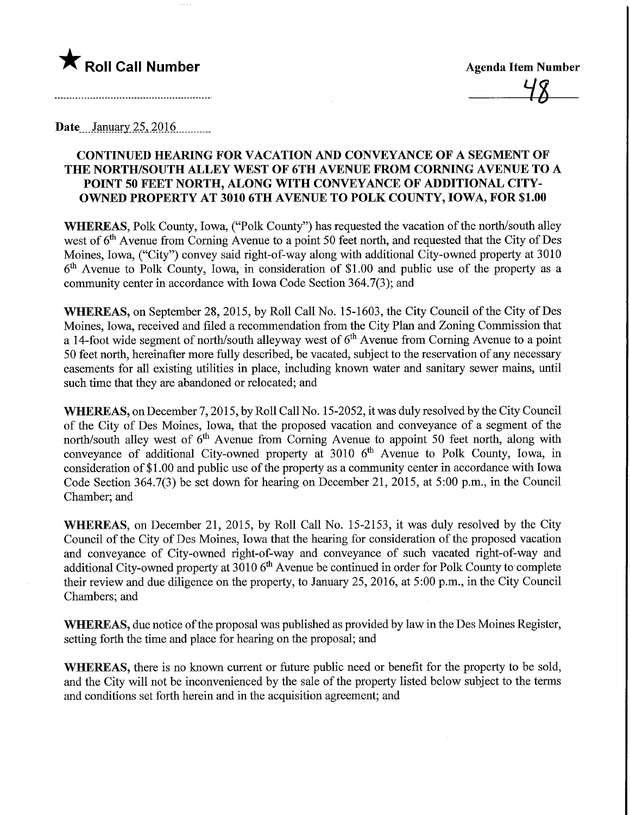

**Agenda Item Number** 

**Date** January 25, 2016

## CONTINUED HEARING FOR VACATION AND CONVEYANCE OF A SEGMENT OF THE NORTH/SOUTH ALLEY WEST OF 6TH AVENUE FROM CORNING AVENUE TO A POINT 50 FEET NORTH, ALONG WITH CONVEYANCE OF ADDITIONAL CITY-OWNED PROPERTY AT 3010 6TH AVENUE TO POLK COUNTY, IOWA, FOR \$1.00

WHEREAS, Polk County, Iowa, ("Polk County") has requested the vacation of the north/south alley west of  $6<sup>th</sup>$  Avenue from Corning Avenue to a point 50 feet north, and requested that the City of Des Moines, Iowa, ("City") convey said right-of-way along with additional City-owned property at 3010  $6<sup>th</sup>$  Avenue to Polk County, Iowa, in consideration of \$1.00 and public use of the property as a community center in accordance with Iowa Code Section 364.7(3); and

WHEREAS, on September 28, 2015, by Roll Call No. 15-1603, the City Council of the City of Des Moines, Iowa, received and filed a recommendation from the City Plan and Zoning Commission that a 14-foot wide segment of north/south alleyway west of  $6<sup>th</sup>$  Avenue from Corning Avenue to a point 50 feet north, hereinafter more fully described, be vacated, subject to the reservation of any necessary easements for all existing utilities in place, including known water and sanitary sewer mains, until such time that they are abandoned or relocated; and

WHEREAS, on December 7, 2015, by Roll Call No. 15-2052, it was duly resolved by the City Council of the City of Des Moines, Iowa, that the proposed vacation and conveyance of a segment of the north/south alley west of  $6<sup>th</sup>$  Avenue from Corning Avenue to appoint 50 feet north, along with conveyance of additional City-owned property at 3010 6<sup>th</sup> Avenue to Polk County, Iowa, in consideration of \$1.00 and public use of the property as a community center in accordance with Iowa Code Section 364.7(3) be set down for hearing on December 21, 2015, at 5:00 p.m., in the Council Chamber; and

WHEREAS, on December 21, 2015, by Roll Call No. 15-2153, it was duly resolved by the City Council of the City of Des Moines, Iowa that the hearing for consideration of the proposed vacation and conveyance of City-owned right-of-way and conveyance of such vacated right-of-way and additional City-owned property at  $3010$  6<sup>th</sup> Avenue be continued in order for Polk County to complete their review and due diligence on the property, to January 25, 2016, at 5:00 p.m., in the City Council Chambers; and

WHEREAS, due notice of the proposal was published as provided by law in the Des Moines Register, setting forth the time and place for hearing on the proposal; and

WHEREAS, there is no known current or future public need or benefit for the property to be sold, and the City will not be inconvenienced by the sale of the property listed below subject to the terms and conditions set forth herein and in the acquisition agreement; and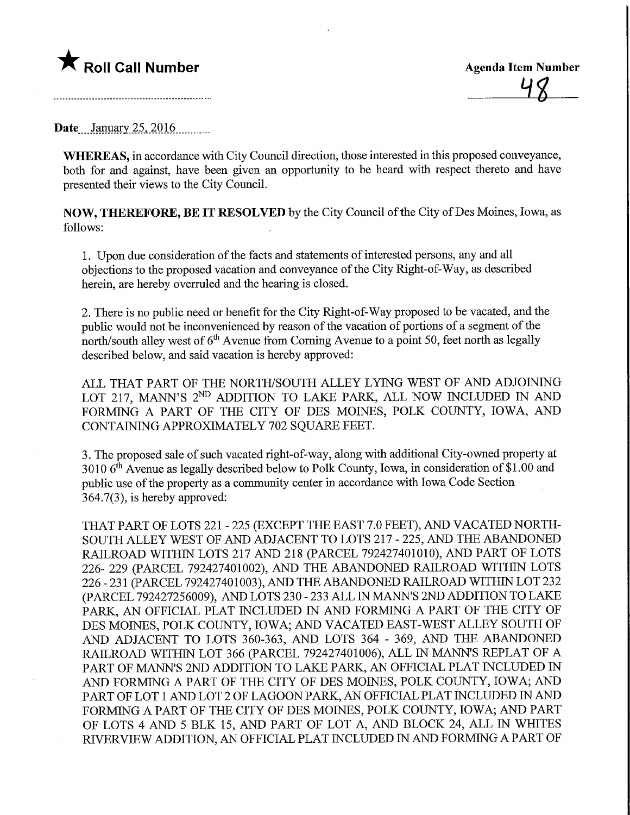## $\bigstar$  Roll Call Number

Date January  $25,2016$ 

WHEREAS, in accordance with City Council direction, those interested in this proposed conveyance, both for and against, have been given an opportunity to be heard with respect thereto and have presented their views to the City Council.

NOW, THEREFORE, BE IT RESOLVED by the City Council of the City of Des Moines, Iowa, as follows:

1. Upon due consideration of the facts and statements of interested persons, any and all objections to the proposed vacation and conveyance of the City Right-of-Way, as described herein, are hereby overruled and the hearing is closed.

2. There is no public need or benefit for the City Right-of-Way proposed to be vacated, and the public would not be inconvenienced by reason of the vacation of portions of a segment of the north/south alley west of  $6<sup>th</sup>$  Avenue from Corning Avenue to a point 50, feet north as legally described below, and said vacation is hereby approved:

ALL THAT PART OF THE NORTH/SOUTH ALLEY LYING WEST OF AND ADJOINING LOT 217, MANN'S 2<sup>ND</sup> ADDITION TO LAKE PARK, ALL NOW INCLUDED IN AND FORMING A PART OF THE CITY OF DES MOINES, POLK COUNTY, IOWA, AND CONTAINING APPROXIMATELY 702 SQUARE FEET.

3. The proposed sale of such vacated right-of-way, along with additional City-owned property at 3010  $6<sup>th</sup>$  Avenue as legally described below to Polk County, Iowa, in consideration of \$1.00 and public use of the property as a community center in accordance with Iowa Code Section 364.7(3), is hereby approved:

THAT PART OF LOTS 221 - 225 (EXCEPT THE EAST 7.0 FEET), AND VACATED NORTH-SOUTH ALLEY WEST OF AND ADJACENT TO LOTS 217 - 225, AND THE ABANDONED RAILROAD WITHIN LOTS 217 AND 218 (PARCEL 792427401010), AND PART OF LOTS 226- 229 (PARCEL 792427401002), AND THE ABANDONED RAILROAD WITHIN LOTS 226 - 231 (PARCEL 792427401003), AND THE ABANDONED RAILROAD WITHIN LOT 232 (PARCEL 792427256009), AND LOTS 230 - 233 ALL IN MANN'S 2ND ADDITION TO LAKE PARK, AN OFFICIAL PLAT INCLUDED IN AND FORMING A PART OF THE CITY OF DES MOINES, POLK COUNTY, IOWA; AND VACATED EAST-WEST ALLEY SOUTH OF AND ADJACENT TO LOTS 360-363, AND LOTS 364 - 369, AND THE ABANDONED RAILROAD WITHIN LOT 366 (PARCEL 792427401006), ALL N MANN'S REPEAT OF A PART OF MANN'S 2ND ADDITION TO LAKE PARK, AN OFFICIAL PLAT INCLUDED IN AND FORMING A PART OF THE CITY OF DES MOINES, POLK COUNTY, IOWA; AND PART OF LOT 1 AND LOT 2 OF LAGOON PARK, AN OFFICIAL PLAT INCLUDED IN AND FORMmG A PART OF THE CITY OF DES MOINES, POLK COUNTY, IOWA; AND PART OF LOTS 4 AND 5 BLK 15, AND PART OF LOT A, AND BLOCK 24, ALL IN WHITES RIVERVIEW ADDITION, AN OFFICIAL PLAT INCLUDED IN AND FORMING A PART OF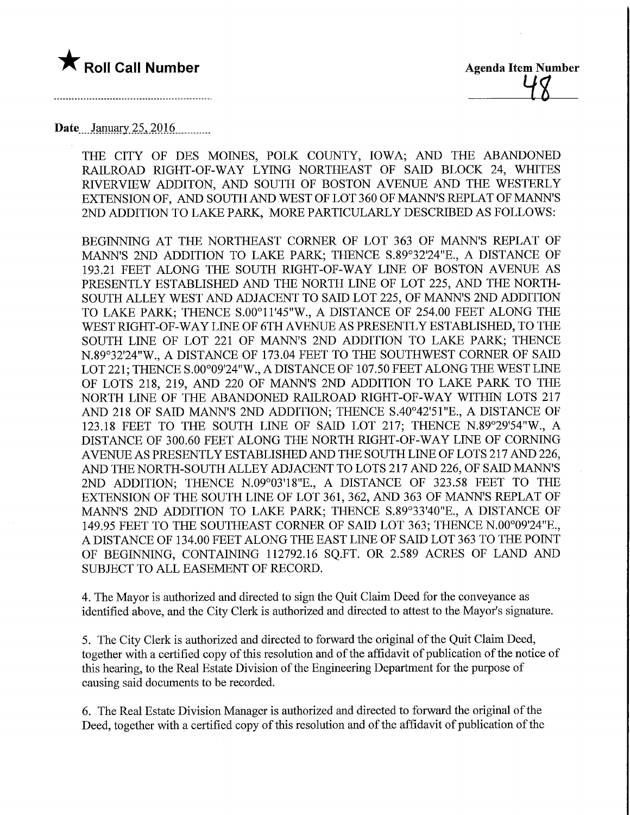

48

Date January 25, 2016

THE CITY OF DES MOINES, POLK COUNTY, IOWA; AND THE ABANDONED RAILROAD RIGHT-OF-WAY LYING NORTHEAST OF SAID BLOCK 24, WHITES RIVERVIEW ADDITON, AND SOUTH OF BOSTON AVENUE AND THE WESTERLY EXTENSION OF, AND SOUTH AND WEST OF LOT 360 OF MANN'S REPEAT OF MANN'S 2ND ADDITION TO LAKE PARK, MORE PARTICULARLY DESCRIBED AS FOLLOWS:

BEGINNING AT THE NORTHEAST CORNER OF LOT 363 OF MANN'S REPEAT OF MANN'S 2ND ADDITION TO LAKE PARK; THENCE S.89°32'24"E., A DISTANCE OF 193.21 FEET ALONG THE SOUTH RIGHT-OF-WAY LWE OF BOSTON AVENUE AS PRESENTLY ESTABLISHED AND THE NORTH LINE OF LOT 225, AND THE NORTH-SOUTH ALLEY WEST AND ADJACENT TO SAID LOT 225, OF MANN'S 2ND ADDITION TO LAKE PARK; THENCE S.OO°H'45"W., A DISTANCE OF 254.00 FEET ALONG THE WEST RIGHT-OF-WAY LINE OF 6TH AVENUE AS PRESENTLY ESTABLISHED, TO THE SOUTH LINE OF LOT 221 OF MANN'S 2ND ADDITION TO LAKE PARK; THENCE N.89°32'24"W., A DISTANCE OF 173.04 FEET TO THE SOUTHWEST CORNER OF SAID LOT 221; THENCE S.OO°09'24"W., A DISTANCE OF 107.50 FEET ALONG THE WEST LINE OF LOTS 218, 219, AND 220 OF MANN'S 2ND ADDITION TO LAKE PARK TO THE NORTH LINE OF THE ABANDONED RAILROAD RIGHT-OF-WAY WITHIN LOTS 217 AND 218 OF SAID MANN'S 2ND ADDITION; THENCE S.40°42'51"E., A DISTANCE OF 123.18 FEET TO THE SOUTH LINE OF SAID LOT 217; THENCE N.89°29'54"W, A DISTANCE OF 300.60 FEET ALONG THE NORTH RIGHT-OF-WAY LINE OF CORNING AVENUE AS PRESENTLY ESTABLISHED AND THE SOUTH LINE OF LOTS 217 AND 226, AND THE NORTH-SOUTH ALLEY ADJACENT TO LOTS 217 AND 226, OF SAID MANN'S 2ND ADDITION; THENCE N.09°03'18"E., A DISTANCE OF 323.58 FEET TO THE EXTENSION OF THE SOUTH LINE OF LOT 361, 362, AND 363 OF MANN'S REPLAT OF MANN'S 2ND ADDITION TO LAKE PARK; THENCE S.89°33'40"E., A DISTANCE OF 149.95 FEET TO THE SOUTHEAST CORNER OF SAID LOT 363; THENCE N.OO°09'24"E., A DISTANCE OF 134.00 FEET ALONG THE EAST LINE OF SAID LOT 363 TO THE POINT OF BEGINNING, CONTAINING 112792.16 SQ.FT. OR 2.589 ACRES OF LAND AND SUBJECT TO ALL EASEMENT OF RECORD.

4. The Mayor is authorized and directed to sign the Quit Claim Deed for the conveyance as identified above, and the City Clerk is authorized and directed to attest to the Mayor's signature.

5. The City Clerk is authorized and directed to forward the original of the Quit Claim Deed, together with a certified copy of this resolution and of the affidavit of publication of the notice of this hearing, to the Real Estate Division of the Engineering Department for the purpose of causing said documents to be recorded.

6. The Real Estate Division Manager is authorized and directed to forward the original of the Deed, together with a certified copy of this resolution and of the affidavit of publication of the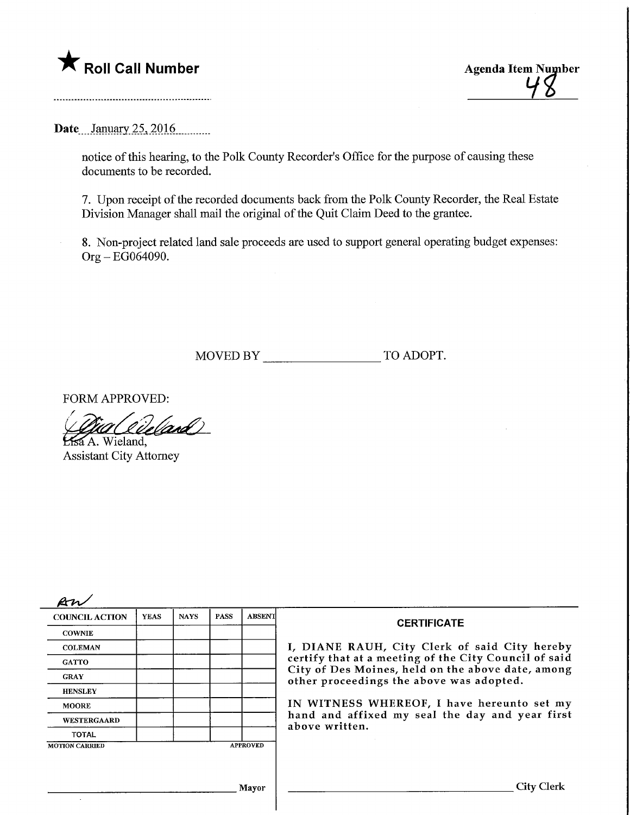Roll Call Number Agenda Item Number Agenda Item Number Agenda Item Number Agenda Item Number 4

Date... January 25, 2016

notice of this hearing, to the Polk County Recorder's Office for the purpose of causing these documents to be recorded.

7. Upon receipt of the recorded documents back from the Polk County Recorder, the Real Estate Division Manager shall mail the original of the Quit Claim Deed to the grantee.

8. Non-project related land sale proceeds are used to support general operating budget expenses: Org-EG064090.

MOVED BY TO ADOPT.

FORM APPROVED:

*\Giallieland*)<br>Essa A. Wieland,

Assistant City Attorney

| <b>COUNCIL ACTION</b>                    | <b>YEAS</b> | <b>NAYS</b> | <b>PASS</b> | ABSENT | <b>CERTIFICATE</b><br>I, DIANE RAUH, City Clerk of said City hereby<br>certify that at a meeting of the City Council of said<br>City of Des Moines, held on the above date, among<br>other proceedings the above was adopted. |  |
|------------------------------------------|-------------|-------------|-------------|--------|-------------------------------------------------------------------------------------------------------------------------------------------------------------------------------------------------------------------------------|--|
| <b>COWNIE</b>                            |             |             |             |        |                                                                                                                                                                                                                               |  |
| <b>COLEMAN</b>                           |             |             |             |        |                                                                                                                                                                                                                               |  |
| <b>GATTO</b>                             |             |             |             |        |                                                                                                                                                                                                                               |  |
| <b>GRAY</b>                              |             |             |             |        |                                                                                                                                                                                                                               |  |
| <b>HENSLEY</b>                           |             |             |             |        |                                                                                                                                                                                                                               |  |
| <b>MOORE</b>                             |             |             |             |        | IN WITNESS WHEREOF, I have hereunto set my<br>hand and affixed my seal the day and year first<br>above written.                                                                                                               |  |
| WESTERGAARD                              |             |             |             |        |                                                                                                                                                                                                                               |  |
| <b>TOTAL</b>                             |             |             |             |        |                                                                                                                                                                                                                               |  |
| <b>APPROVED</b><br><b>MOTION CARRIED</b> |             |             |             |        |                                                                                                                                                                                                                               |  |
|                                          |             |             |             |        |                                                                                                                                                                                                                               |  |
|                                          |             |             |             |        |                                                                                                                                                                                                                               |  |
| Mayor                                    |             |             |             |        | City Clerk                                                                                                                                                                                                                    |  |
|                                          |             |             |             |        |                                                                                                                                                                                                                               |  |